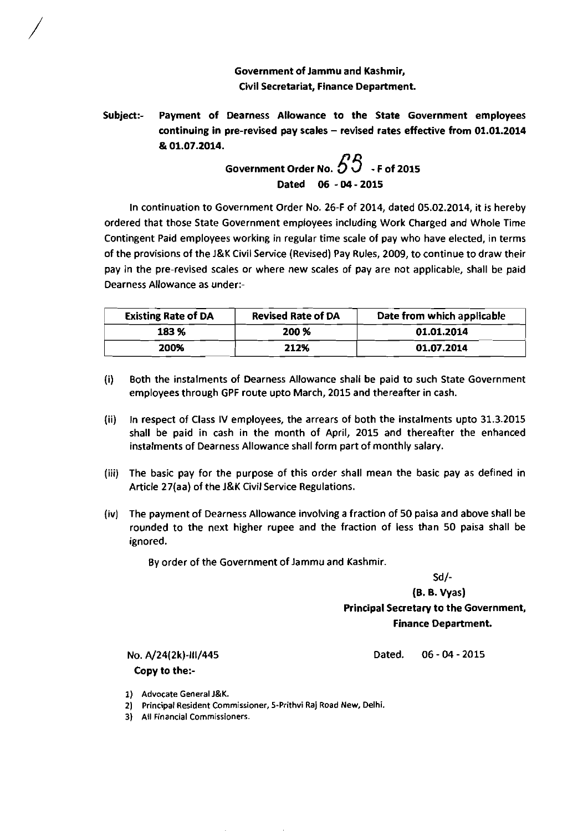## Government of Jammu and Kashmir, Civil Secretariat, Finance Department.

Subject:- Payment of Dearness Allowance to the State Government employees continuing in pre-revised pay scales - revised rates effective from **01.01.2014**  & **01.07.2014.** 

Government Order No. 
$$
55 - 562015
$$
  
\nDated 06 - 04 - 2015

In continuation to Government Order No. 26-F of 2014, dated 05.02.2014, it is hereby ordered that those State Government employees including Work Charged and Whole Time Contingent Paid employees working in regular time scale of pay who have elected, in terms of the provisions of the J&K Civil Service (Revised) Pay Rules, 2009, to continue to draw their pay in the pre-revised scales or where new scales of pay are not applicable, shall be paid Dearness Allowance as under:-

| <b>Existing Rate of DA</b> | <b>Revised Rate of DA</b> | Date from which applicable |
|----------------------------|---------------------------|----------------------------|
| 183 %                      | 200 %                     | 01.01.2014                 |
| 200%                       | 212%                      | 01.07.2014                 |

- (i) Both the instalments of Dearness Allowance shall be paid to such State Government employees through GPF route upto March, 2015 and thereafter in cash.
- (ii) In respect of Class **IV** employees, the arrears of both the instalments upto 31.3.2015 shall be paid in cash in the month of April, 2015 and thereafter the enhanced instalments of Dearness Allowance shall form part of monthly salary.
- (iii) The basic pay for the purpose of this order shall mean the basic pay as defined in Article 27(aa) of the J&K Civil Service Regulations.
- (iv) The payment of Dearness Allowance involving a fraction of 50 paisa and above shall be rounded to the next higher rupee and the fraction of less than 50 paisa shall be ignored.

By order of the Government of Jammu and Kashmir.

Sd/-

(6.6. Vyas) Principal Secretary to the Government, Finance Department.

NO. A/24(2k)-111/445

Copy to the:-

Dated. 06 - 04 - 2015

- 1) Advocate General **J&K.**
- 2) Principal Resident Commissioner, 5-Prithvi Raj Road New, Delhi.
- 3) All Financial Commissioners.